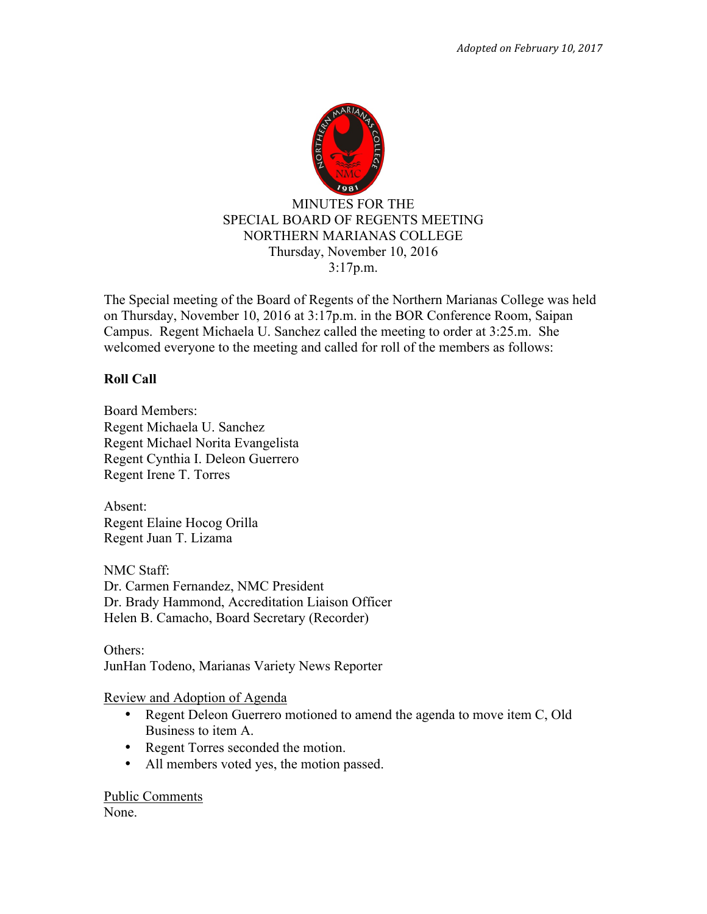

The Special meeting of the Board of Regents of the Northern Marianas College was held on Thursday, November 10, 2016 at 3:17p.m. in the BOR Conference Room, Saipan Campus. Regent Michaela U. Sanchez called the meeting to order at 3:25.m. She welcomed everyone to the meeting and called for roll of the members as follows:

## **Roll Call**

Board Members: Regent Michaela U. Sanchez Regent Michael Norita Evangelista Regent Cynthia I. Deleon Guerrero Regent Irene T. Torres

Absent: Regent Elaine Hocog Orilla Regent Juan T. Lizama

NMC Staff: Dr. Carmen Fernandez, NMC President Dr. Brady Hammond, Accreditation Liaison Officer Helen B. Camacho, Board Secretary (Recorder)

Others: JunHan Todeno, Marianas Variety News Reporter

Review and Adoption of Agenda

- Regent Deleon Guerrero motioned to amend the agenda to move item C, Old Business to item A.
- Regent Torres seconded the motion.
- All members voted yes, the motion passed.

Public Comments None.